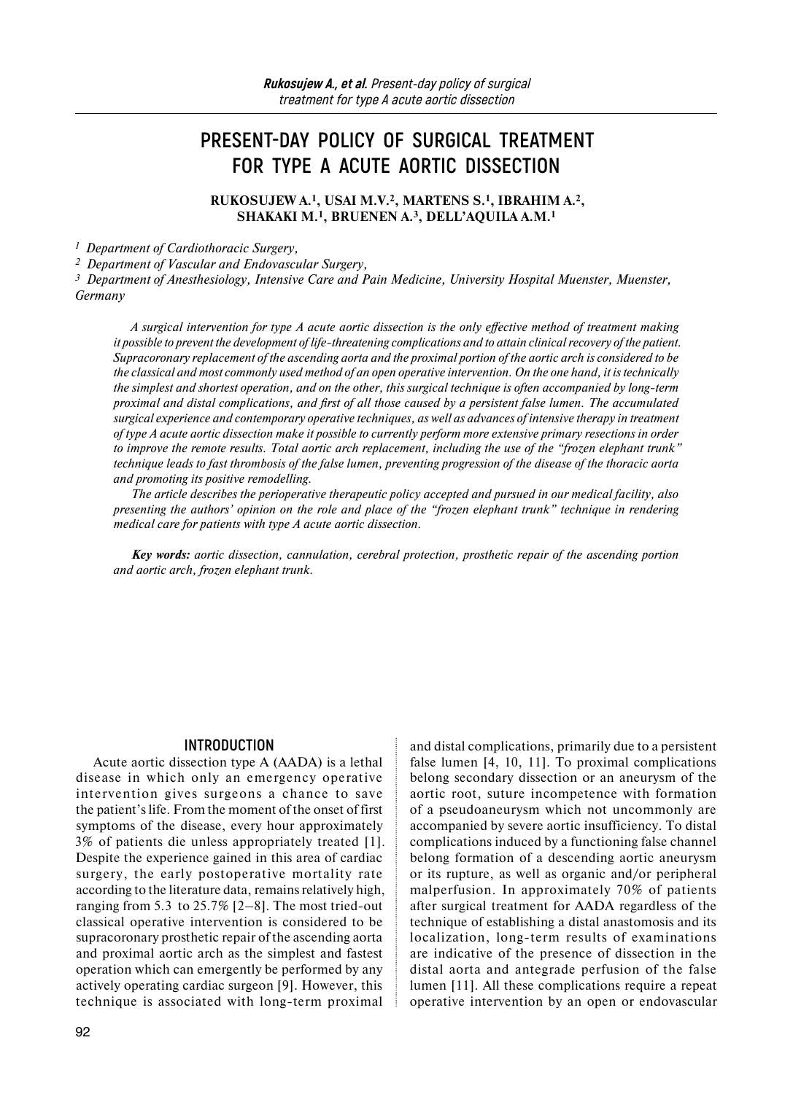# **PRESENT-DAY POLICY OF SURGICAL TREATMENT FOR TYPE A ACUTE AORTIC DISSECTION**

**RUKOSUJEW A.1, USAI M.V.2, MARTENS S.1, IBRAHIM A.2, SHAKAKI M.1, BRUENEN A.3, DELL'AQUILA A.M.1**

*1 Department of Cardiothoracic Surgery,* 

*2 Department of Vascular and Endovascular Surgery,*

*3 Department of Anesthesiology, Intensive Care and Pain Medicine, University Hospital Muenster, Muenster, Germany* 

*A surgical intervention for type A acute aortic dissection is the only effective method of treatment making it possible to prevent the development of life-threatening complications and to attain clinical recovery of the patient. Supracoronary replacement of the ascending aorta and the proximal portion of the aortic arch is considered to be the classical and most commonly used method of an open operative intervention. On the one hand, it is technically the simplest and shortest operation, and on the other, this surgical technique is often accompanied by long-term proximal and distal complications, and first of all those caused by a persistent false lumen. The accumulated surgical experience and contemporary operative techniques, as well as advances of intensive therapy in treatment of type A acute aortic dissection make it possible to currently perform more extensive primary resections in order to improve the remote results. Total aortic arch replacement, including the use of the "frozen elephant trunk" technique leads to fast thrombosis of the false lumen, preventing progression of the disease of the thoracic aorta and promoting its positive remodelling.* 

*The article describes the perioperative therapeutic policy accepted and pursued in our medical facility, also presenting the authors' opinion on the role and place of the "frozen elephant trunk" technique in rendering medical care for patients with type A acute aortic dissection.* 

*Key words: aortic dissection, cannulation, cerebral protection, prosthetic repair of the ascending portion and aortic arch, frozen elephant trunk.* 

## **INTRODUCTION**

Acute aortic dissection type A (AADA) is a lethal disease in which only an emergency operative intervention gives surgeons a chance to save the patient's life. From the moment of the onset of first symptoms of the disease, every hour approximately 3% of patients die unless appropriately treated [1]. Despite the experience gained in this area of cardiac surgery, the early postoperative mortality rate according to the literature data, remains relatively high, ranging from 5.3 to 25.7% [2–8]. The most tried-out classical operative intervention is considered to be supracoronary prosthetic repair of the ascending aorta and proximal aortic arch as the simplest and fastest operation which can emergently be performed by any actively operating cardiac surgeon [9]. However, this technique is associated with long-term proximal

92

and distal complications, primarily due to a persistent false lumen [4, 10, 11]. To proximal complications belong secondary dissection or an aneurysm of the aortic root, suture incompetence with formation of a pseudoaneurysm which not uncommonly are accompanied by severe aortic insufficiency. To distal complications induced by a functioning false channel belong formation of a descending aortic aneurysm or its rupture, as well as organic and/or peripheral malperfusion. In approximately 70% of patients after surgical treatment for AADA regardless of the technique of establishing a distal anastomosis and its localization, long-term results of examinations are indicative of the presence of dissection in the distal aorta and antegrade perfusion of the false lumen [11]. All these complications require a repeat operative intervention by an open or endovascular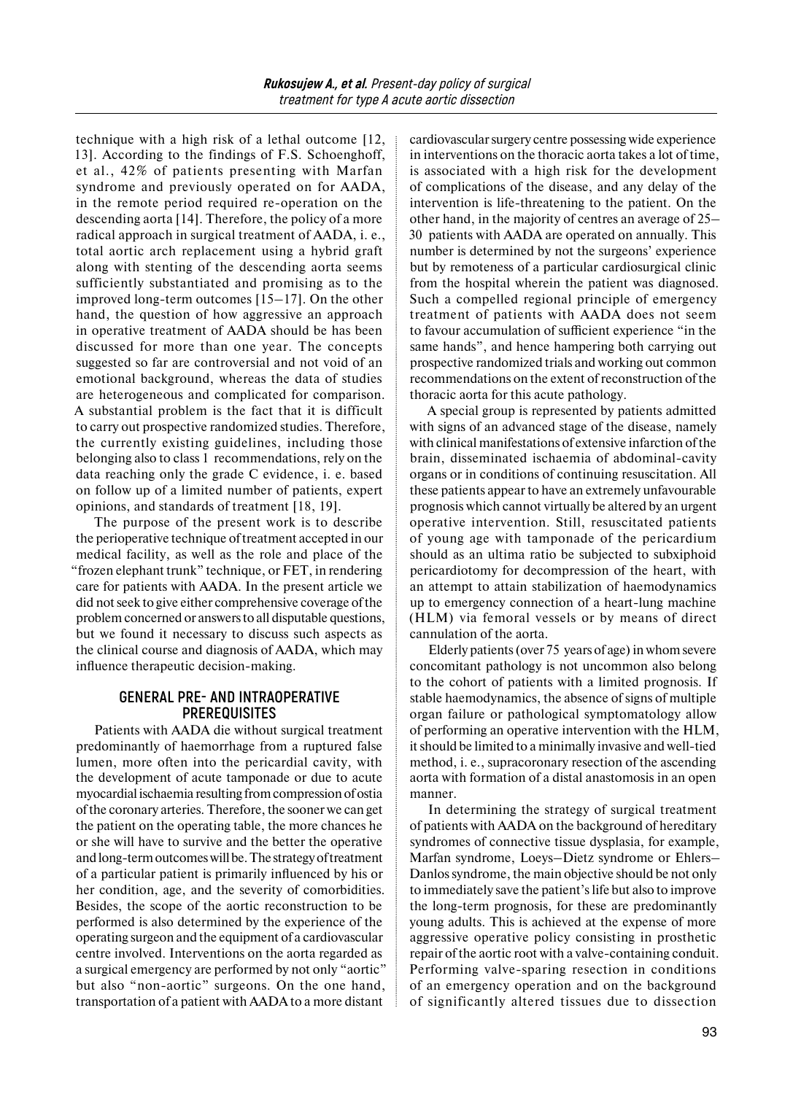technique with a high risk of a lethal outcome [12, 13]. According to the findings of F.S. Schoenghoff, et al., 42% of patients presenting with Marfan syndrome and previously operated on for AADA, in the remote period required re-operation on the descending aorta [14]. Therefore, the policy of a more radical approach in surgical treatment of AADA, i. e., total aortic arch replacement using a hybrid graft along with stenting of the descending aorta seems sufficiently substantiated and promising as to the improved long-term outcomes [15–17]. On the other hand, the question of how aggressive an approach in operative treatment of AADA should be has been discussed for more than one year. The concepts suggested so far are controversial and not void of an emotional background, whereas the data of studies are heterogeneous and complicated for comparison. A substantial problem is the fact that it is difficult to carry out prospective randomized studies. Therefore, the currently existing guidelines, including those belonging also to class 1 recommendations, rely on the data reaching only the grade C evidence, i. e. based on follow up of a limited number of patients, expert opinions, and standards of treatment [18, 19].

The purpose of the present work is to describe the perioperative technique of treatment accepted in our medical facility, as well as the role and place of the "frozen elephant trunk" technique, or FET, in rendering care for patients with AADA. In the present article we did not seek to give either comprehensive coverage of the problem concerned or answers to all disputable questions, but we found it necessary to discuss such aspects as the clinical course and diagnosis of AADA, which may influence therapeutic decision-making.

## **GENERAL PRE- AND INTRAOPERATIVE PREREQUISITES**

Patients with AADA die without surgical treatment predominantly of haemorrhage from a ruptured false lumen, more often into the pericardial cavity, with the development of acute tamponade or due to acute myocardial ischaemia resulting from compression of ostia of the coronary arteries. Therefore, the sooner we can get the patient on the operating table, the more chances he or she will have to survive and the better the operative and long-term outcomes will be. The strategy of treatment of a particular patient is primarily influenced by his or her condition, age, and the severity of comorbidities. Besides, the scope of the aortic reconstruction to be performed is also determined by the experience of the operating surgeon and the equipment of a cardiovascular centre involved. Interventions on the aorta regarded as a surgical emergency are performed by not only "aortic" but also "non-aortic" surgeons. On the one hand, transportation of a patient with AADA to a more distant

cardiovascular surgery centre possessing wide experience in interventions on the thoracic aorta takes a lot of time, is associated with a high risk for the development of complications of the disease, and any delay of the intervention is life-threatening to the patient. On the other hand, in the majority of centres an average of 25– 30 patients with AADA are operated on annually. This number is determined by not the surgeons' experience but by remoteness of a particular cardiosurgical clinic from the hospital wherein the patient was diagnosed. Such a compelled regional principle of emergency treatment of patients with AADA does not seem to favour accumulation of sufficient experience "in the same hands", and hence hampering both carrying out prospective randomized trials and working out common recommendations on the extent of reconstruction of the thoracic aorta for this acute pathology.

A special group is represented by patients admitted with signs of an advanced stage of the disease, namely with clinical manifestations of extensive infarction of the brain, disseminated ischaemia of abdominal-cavity organs or in conditions of continuing resuscitation. All these patients appear to have an extremely unfavourable prognosis which cannot virtually be altered by an urgent operative intervention. Still, resuscitated patients of young age with tamponade of the pericardium should as an ultima ratio be subjected to subxiphoid pericardiotomy for decompression of the heart, with an attempt to attain stabilization of haemodynamics up to emergency connection of a heart-lung machine (HLM) via femoral vessels or by means of direct cannulation of the aorta.

Elderly patients (over 75 years of age) inwhom severe concomitant pathology is not uncommon also belong to the cohort of patients with a limited prognosis. If stable haemodynamics, the absence of signs of multiple organ failure or pathological symptomatology allow of performing an operative intervention with the HLM, itshould be limited to a minimally invasive and well-tied method, i. e., supracoronary resection of the ascending aorta with formation of a distal anastomosis in an open manner.

In determining the strategy of surgical treatment of patients with AADA on the background of hereditary syndromes of connective tissue dysplasia, for example, Marfan syndrome, Loeys–Dietz syndrome or Ehlers– Danlos syndrome, the main objective should be not only to immediately save the patient's life but also to improve the long-term prognosis, for these are predominantly young adults. This is achieved at the expense of more aggressive operative policy consisting in prosthetic repair of the aortic root with a valve-containing conduit. Performing valve-sparing resection in conditions of an emergency operation and on the background of significantly altered tissues due to dissection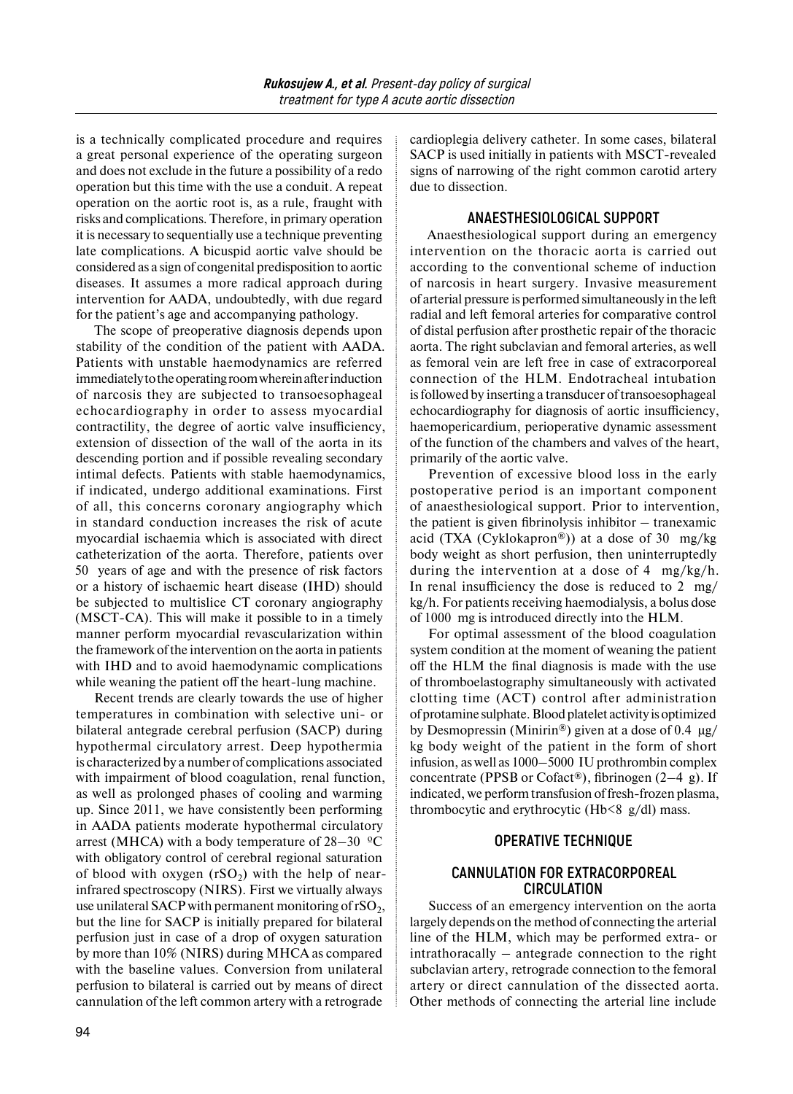is a technically complicated procedure and requires a great personal experience of the operating surgeon and does not exclude in the future a possibility of a redo operation but this time with the use a conduit. A repeat operation on the aortic root is, as a rule, fraught with risks and complications. Therefore, in primary operation it is necessary to sequentially use a technique preventing late complications. A bicuspid aortic valve should be considered as a sign of congenital predisposition to aortic diseases. It assumes a more radical approach during intervention for AADA, undoubtedly, with due regard for the patient's age and accompanying pathology.

The scope of preoperative diagnosis depends upon stability of the condition of the patient with AADA. Patients with unstable haemodynamics are referred immediately tothe operating room wherein after induction of narcosis they are subjected to transoesophageal echocardiography in order to assess myocardial contractility, the degree of aortic valve insufficiency, extension of dissection of the wall of the aorta in its descending portion and if possible revealing secondary intimal defects. Patients with stable haemodynamics, if indicated, undergo additional examinations. First of all, this concerns coronary angiography which in standard conduction increases the risk of acute myocardial ischaemia which is associated with direct catheterization of the aorta. Therefore, patients over 50 years of age and with the presence of risk factors or a history of ischaemic heart disease (IHD) should be subjected to multislice CT coronary angiography (MSCT-CA). This will make it possible to in a timely manner perform myocardial revascularization within the framework of the intervention on the aorta in patients with IHD and to avoid haemodynamic complications while weaning the patient off the heart-lung machine.

Recent trends are clearly towards the use of higher temperatures in combination with selective uni- or bilateral antegrade cerebral perfusion (SACP) during hypothermal circulatory arrest. Deep hypothermia is characterized by a number of complications associated with impairment of blood coagulation, renal function, as well as prolonged phases of cooling and warming up. Since 2011, we have consistently been performing in AADA patients moderate hypothermal circulatory arrest (MHCA) with a body temperature of  $28-30$  °C with obligatory control of cerebral regional saturation of blood with oxygen  $(rSO_2)$  with the help of nearinfrared spectroscopy (NIRS). First we virtually always use unilateral SACP with permanent monitoring of  $rSO<sub>2</sub>$ , but the line for SACP is initially prepared for bilateral perfusion just in case of a drop of oxygen saturation by more than 10% (NIRS) during MHCA as compared with the baseline values. Conversion from unilateral perfusion to bilateral is carried out by means of direct cannulation of the left common artery with a retrograde

cardioplegia delivery catheter. In some cases, bilateral SACP is used initially in patients with MSCT-revealed signs of narrowing of the right common carotid artery due to dissection.

# **ANAESTHESIOLOGICAL SUPPORT**

Anaesthesiological support during an emergency intervention on the thoracic aorta is carried out according to the conventional scheme of induction of narcosis in heart surgery. Invasive measurement of arterial pressure is performed simultaneously in the left radial and left femoral arteries for comparative control of distal perfusion after prosthetic repair of the thoracic aorta. The right subclavian and femoral arteries, as well as femoral vein are left free in case of extracorporeal connection of the HLM. Endotracheal intubation isfollowed by inserting a transducer of transoesophageal echocardiography for diagnosis of aortic insufficiency, haemopericardium, perioperative dynamic assessment of the function of the chambers and valves of the heart, primarily of the aortic valve.

Prevention of excessive blood loss in the early postoperative period is an important component of anaesthesiological support. Prior to intervention, the patient is given fibrinolysis inhibitor – tranexamic acid (TXA (Cyklokapron®)) at a dose of 30 mg/kg body weight as short perfusion, then uninterruptedly during the intervention at a dose of 4 mg/kg/h. In renal insufficiency the dose is reduced to 2 mg/ kg/h. For patients receiving haemodialysis, a bolus dose of 1000 mg is introduced directly into the HLM.

For optimal assessment of the blood coagulation system condition at the moment of weaning the patient off the HLM the final diagnosis is made with the use of thromboelastography simultaneously with activated clotting time (ACT) control after administration of protamine sulphate. Blood platelet activity is optimized by Desmopressin (Minirin®) given at a dose of 0.4 μg/ kg body weight of the patient in the form of short infusion, as well as 1000–5000 IU prothrombin complex concentrate (PPSB or Cofact®), fibrinogen (2–4 g). If indicated, we perform transfusion of fresh-frozen plasma, thrombocytic and erythrocytic (Hb<8 g/dl) mass.

## **OPERATIVE TECHNIQUE**

## **CANNULATION FOR EXTRACORPOREAL CIRCULATION**

Success of an emergency intervention on the aorta largely depends on the method of connecting the arterial line of the HLM, which may be performed extra- or intrathoracally – antegrade connection to the right subclavian artery, retrograde connection to the femoral artery or direct cannulation of the dissected aorta. Other methods of connecting the arterial line include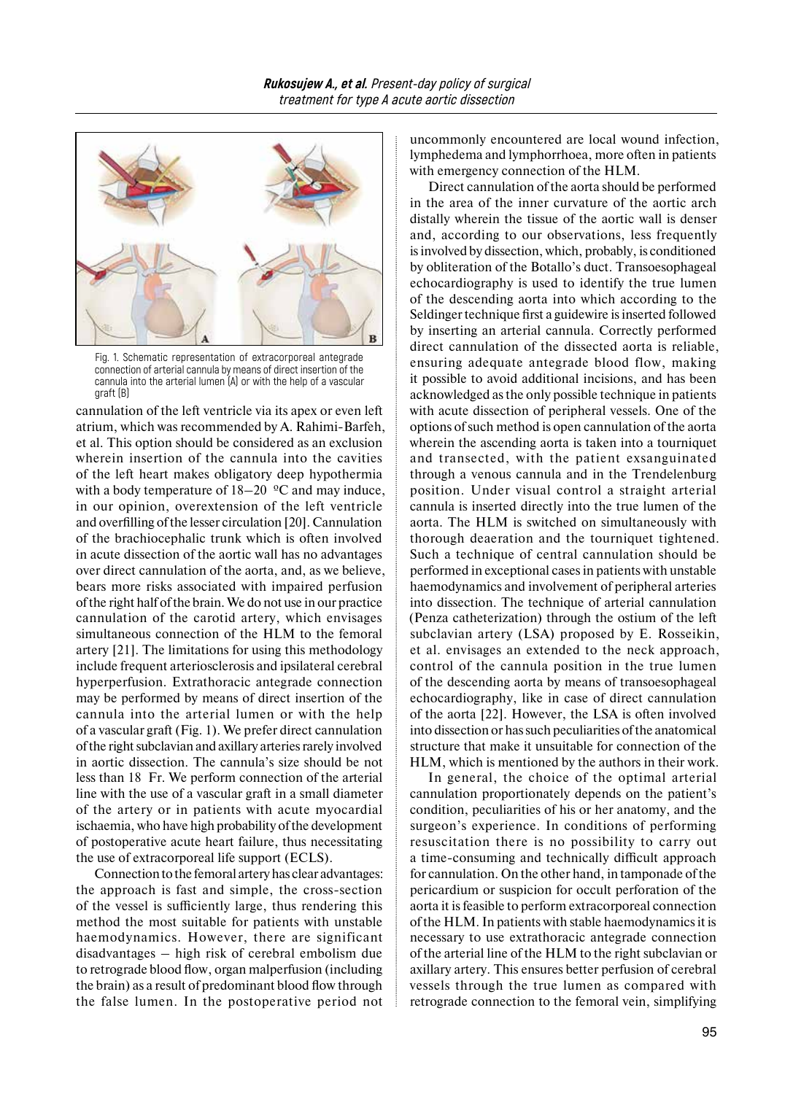

Fig. 1. Schematic representation of extracorporeal antegrade connection of arterial cannula by means of direct insertion of the cannula into the arterial lumen (A) or with the help of a vascular graft (B)

cannulation of the left ventricle via its apex or even left atrium, which was recommended by A. Rahimi-Barfeh, et al. This option should be considered as an exclusion wherein insertion of the cannula into the cavities of the left heart makes obligatory deep hypothermia with a body temperature of  $18-20$  °C and may induce, in our opinion, overextension of the left ventricle and overfilling of the lesser circulation [20]. Cannulation of the brachiocephalic trunk which is often involved in acute dissection of the aortic wall has no advantages over direct cannulation of the aorta, and, as we believe, bears more risks associated with impaired perfusion of the right half of the brain. We do not use in our practice cannulation of the carotid artery, which envisages simultaneous connection of the HLM to the femoral artery [21]. The limitations for using this methodology include frequent arteriosclerosis and ipsilateral cerebral hyperperfusion. Extrathoracic antegrade connection may be performed by means of direct insertion of the cannula into the arterial lumen or with the help of a vascular graft (Fig. 1). We prefer direct cannulation ofthe right subclavian and axillary arteries rarely involved in aortic dissection. The cannula's size should be not less than 18 Fr. We perform connection of the arterial line with the use of a vascular graft in a small diameter of the artery or in patients with acute myocardial ischaemia, who have high probability of the development of postoperative acute heart failure, thus necessitating the use of extracorporeal life support (ECLS).

Connection to the femoral artery has clear advantages: the approach is fast and simple, the cross-section of the vessel is sufficiently large, thus rendering this method the most suitable for patients with unstable haemodynamics. However, there are significant disadvantages – high risk of cerebral embolism due to retrograde blood flow, organ malperfusion (including the brain) as a result of predominant blood flow through the false lumen. In the postoperative period not uncommonly encountered are local wound infection, lymphedema and lymphorrhoea, more often in patients with emergency connection of the HLM.

Direct cannulation of the aorta should be performed in the area of the inner curvature of the aortic arch distally wherein the tissue of the aortic wall is denser and, according to our observations, less frequently isinvolved by dissection, which, probably, is conditioned by obliteration of the Botallo's duct. Transoesophageal echocardiography is used to identify the true lumen of the descending aorta into which according to the Seldinger technique first a guidewire is inserted followed by inserting an arterial cannula. Correctly performed direct cannulation of the dissected aorta is reliable, ensuring adequate antegrade blood flow, making it possible to avoid additional incisions, and has been acknowledged as the only possible technique in patients with acute dissection of peripheral vessels. One of the options of such method is open cannulation of the aorta wherein the ascending aorta is taken into a tourniquet and transected, with the patient exsanguinated through a venous cannula and in the Trendelenburg position. Under visual control a straight arterial cannula is inserted directly into the true lumen of the aorta. The HLM is switched on simultaneously with thorough deaeration and the tourniquet tightened. Such a technique of central cannulation should be performed in exceptional cases in patients with unstable haemodynamics and involvement of peripheral arteries into dissection. The technique of arterial cannulation (Penza catheterization) through the ostium of the left subclavian artery (LSA) proposed by E. Rosseikin, et al. envisages an extended to the neck approach, control of the cannula position in the true lumen of the descending aorta by means of transoesophageal echocardiography, like in case of direct cannulation of the aorta [22]. However, the LSA is often involved into dissection or has such peculiarities of the anatomical structure that make it unsuitable for connection of the HLM, which is mentioned by the authors in their work.

In general, the choice of the optimal arterial cannulation proportionately depends on the patient's condition, peculiarities of his or her anatomy, and the surgeon's experience. In conditions of performing resuscitation there is no possibility to carry out a time-consuming and technically difficult approach for cannulation. On the other hand, in tamponade of the pericardium or suspicion for occult perforation of the aorta it is feasible to perform extracorporeal connection of the HLM. In patients with stable haemodynamics it is necessary to use extrathoracic antegrade connection of the arterial line of the HLM to the right subclavian or axillary artery. This ensures better perfusion of cerebral vessels through the true lumen as compared with retrograde connection to the femoral vein, simplifying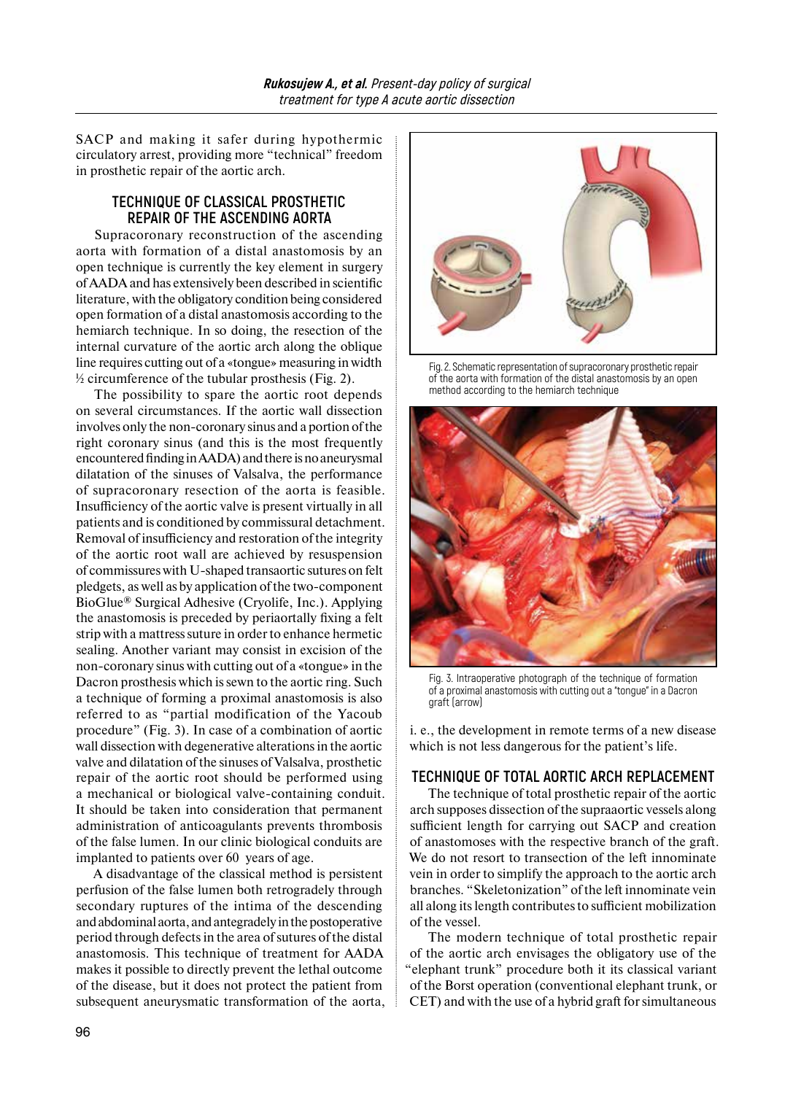SACP and making it safer during hypothermic circulatory arrest, providing more "technical" freedom in prosthetic repair of the aortic arch.

## **TECHNIQUE OF CLASSICAL PROSTHETIC REPAIR OF THE ASCENDING AORTA**

Supracoronary reconstruction of the ascending aorta with formation of a distal anastomosis by an open technique is currently the key element in surgery ofAADA and has extensively been described in scientific literature, with the obligatory condition being considered open formation of a distal anastomosis according to the hemiarch technique. In so doing, the resection of the internal curvature of the aortic arch along the oblique line requires cutting out of a «tongue» measuring inwidth ½ circumference of the tubular prosthesis (Fig. 2).

The possibility to spare the aortic root depends on several circumstances. If the aortic wall dissection involves only the non-coronary sinus and a portion of the right coronary sinus (and this is the most frequently encountered finding inAADA) andthere isno aneurysmal dilatation of the sinuses of Valsalva, the performance of supracoronary resection of the aorta is feasible. Insufficiency of the aortic valve is present virtually in all patients and is conditioned by commissural detachment. Removal of insufficiency and restoration of the integrity of the aortic root wall are achieved by resuspension of commissures with U-shaped transaortic sutures on felt pledgets, as well as by application of the two-component BioGlue® Surgical Adhesive (Cryolife, Inc.). Applying the anastomosis is preceded by periaortally fixing a felt strip with a mattress suture in order to enhance hermetic sealing. Another variant may consist in excision of the non-coronary sinus with cutting out of a «tongue» in the Dacron prosthesis which is sewn to the aortic ring. Such a technique of forming a proximal anastomosis is also referred to as "partial modification of the Yacoub procedure" (Fig. 3). In case of a combination of aortic wall dissection with degenerative alterations in the aortic valve and dilatation of the sinuses of Valsalva, prosthetic repair of the aortic root should be performed using a mechanical or biological valve-containing conduit. It should be taken into consideration that permanent administration of anticoagulants prevents thrombosis of the false lumen. In our clinic biological conduits are implanted to patients over 60 years of age.

A disadvantage of the classical method is persistent perfusion of the false lumen both retrogradely through secondary ruptures of the intima of the descending andabdominal aorta, andantegradely inthe postoperative period through defects in the area of sutures of the distal anastomosis. This technique of treatment for AADA makes it possible to directly prevent the lethal outcome of the disease, but it does not protect the patient from subsequent aneurysmatic transformation of the aorta,



Fig. 2. Schematic representation of supracoronary prosthetic repair of the aorta with formation of the distal anastomosis by an open method according to the hemiarch technique



Fig. 3. Intraoperative photograph of the technique of formation of a proximal anastomosis with cutting out a "tongue" in a Dacron graft (arrow)

i. e., the development in remote terms of a new disease which is not less dangerous for the patient's life.

## **TECHNIQUE OF TOTAL AORTIC ARCH REPLACEMENT**

The technique of total prosthetic repair of the aortic arch supposes dissection of the supraaortic vessels along sufficient length for carrying out SACP and creation of anastomoses with the respective branch of the graft. We do not resort to transection of the left innominate vein in order to simplify the approach to the aortic arch branches. "Skeletonization" of the left innominate vein all along its length contributes to sufficient mobilization of the vessel.

The modern technique of total prosthetic repair of the aortic arch envisages the obligatory use of the "elephant trunk" procedure both it its classical variant of the Borst operation (conventional elephant trunk, or CET) and with the use of a hybrid graft forsimultaneous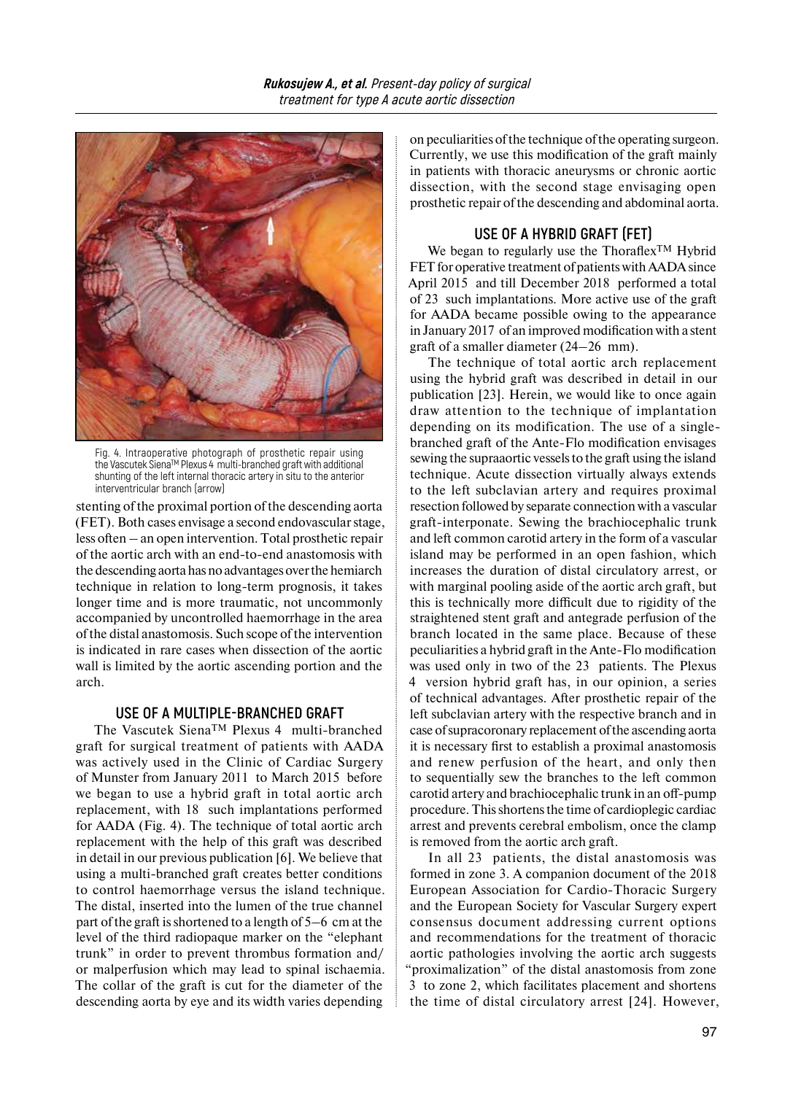

Fig. 4. Intraoperative photograph of prosthetic repair using the Vascutek SienaTM Plexus 4 multi-branched graft with additional shunting of the left internal thoracic artery in situ to the anterior interventricular branch (arrow)

stenting of the proximal portion of the descending aorta (FET). Both cases envisage a second endovascular stage, less often – an open intervention. Total prosthetic repair of the aortic arch with an end-to-end anastomosis with the descending aorta has no advantages over the hemiarch technique in relation to long-term prognosis, it takes longer time and is more traumatic, not uncommonly accompanied by uncontrolled haemorrhage in the area of the distal anastomosis. Such scope of the intervention is indicated in rare cases when dissection of the aortic wall is limited by the aortic ascending portion and the arch.

#### **USE OF A MULTIPLE-BRANCHED GRAFT**

The Vascutek SienaTM Plexus 4 multi-branched graft for surgical treatment of patients with AADA was actively used in the Clinic of Cardiac Surgery of Munster from January 2011 to March 2015 before we began to use a hybrid graft in total aortic arch replacement, with 18 such implantations performed for AADA (Fig. 4). The technique of total aortic arch replacement with the help of this graft was described in detail in our previous publication [6]. We believe that using a multi-branched graft creates better conditions to control haemorrhage versus the island technique. The distal, inserted into the lumen of the true channel part of the graft isshortened to a length of 5–6 cm at the level of the third radiopaque marker on the "elephant trunk" in order to prevent thrombus formation and/ or malperfusion which may lead to spinal ischaemia. The collar of the graft is cut for the diameter of the descending aorta by eye and its width varies depending

on peculiarities of the technique of the operating surgeon. Currently, we use this modification of the graft mainly in patients with thoracic aneurysms or chronic aortic dissection, with the second stage envisaging open prosthetic repair of the descending and abdominal aorta.

#### **USE OF A HYBRID GRAFT (FET)**

We began to regularly use the Thoraflex<sup>TM</sup> Hybrid FET for operative treatment of patients with AADA since April 2015 and till December 2018 performed a total of 23 such implantations. More active use of the graft for AADA became possible owing to the appearance in January 2017 of an improved modification with a stent graft of a smaller diameter (24–26 mm).

The technique of total aortic arch replacement using the hybrid graft was described in detail in our publication [23]. Herein, we would like to once again draw attention to the technique of implantation depending on its modification. The use of a singlebranched graft of the Ante-Flo modification envisages sewing the supraaortic vessels to the graft using the island technique. Acute dissection virtually always extends to the left subclavian artery and requires proximal resection followed by separate connection with a vascular graft-interponate. Sewing the brachiocephalic trunk and left common carotid artery in the form of a vascular island may be performed in an open fashion, which increases the duration of distal circulatory arrest, or with marginal pooling aside of the aortic arch graft, but this is technically more difficult due to rigidity of the straightened stent graft and antegrade perfusion of the branch located in the same place. Because of these peculiarities a hybrid graft in the Ante-Flo modification was used only in two of the 23 patients. The Plexus 4 version hybrid graft has, in our opinion, a series of technical advantages. After prosthetic repair of the left subclavian artery with the respective branch and in case ofsupracoronary replacement ofthe ascending aorta it is necessary first to establish a proximal anastomosis and renew perfusion of the heart, and only then to sequentially sew the branches to the left common carotid artery and brachiocephalic trunk in an off-pump procedure. This shortens the time of cardioplegic cardiac arrest and prevents cerebral embolism, once the clamp is removed from the aortic arch graft.

In all 23 patients, the distal anastomosis was formed in zone 3. A companion document of the 2018 European Association for Cardio-Thoracic Surgery and the European Society for Vascular Surgery expert consensus document addressing current options and recommendations for the treatment of thoracic aortic pathologies involving the aortic arch suggests "proximalization" of the distal anastomosis from zone 3 to zone 2, which facilitates placement and shortens the time of distal circulatory arrest [24]. However,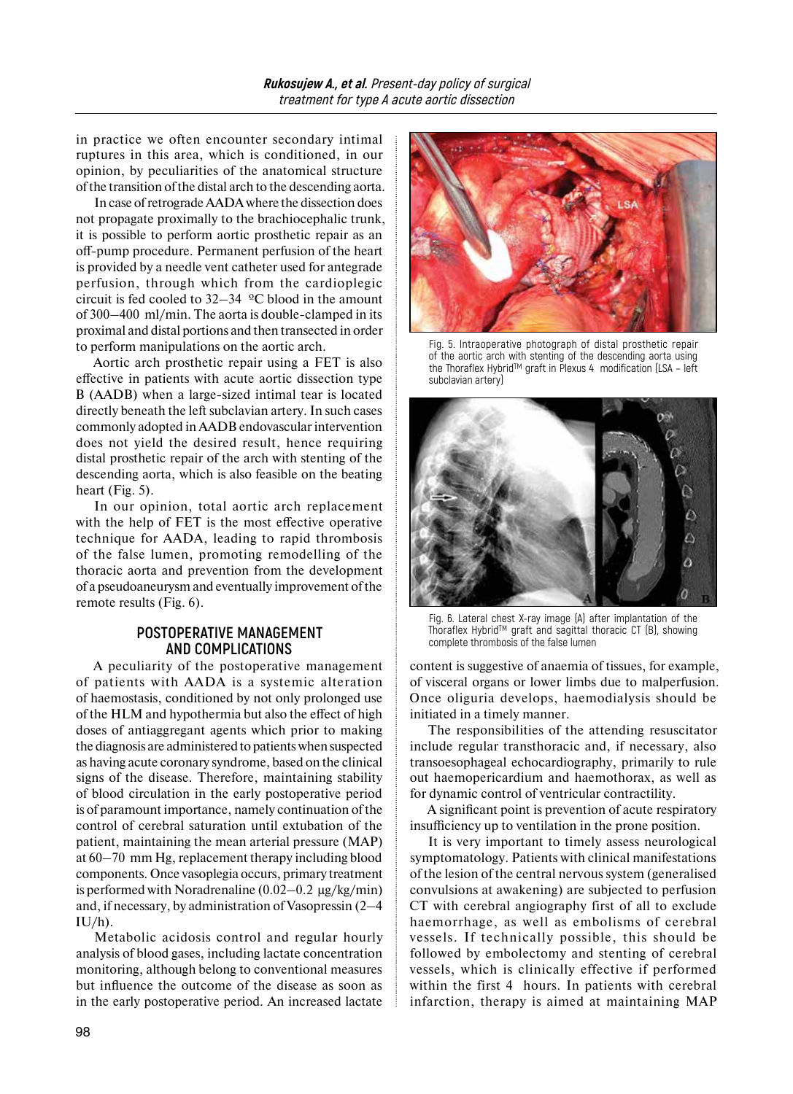in practice we often encounter secondary intimal ruptures in this area, which is conditioned, in our opinion, by peculiarities of the anatomical structure of the transition of the distal arch to the descending aorta.

In case ofretrograde AADA where the dissection does not propagate proximally to the brachiocephalic trunk, it is possible to perform aortic prosthetic repair as an off-pump procedure. Permanent perfusion of the heart is provided by a needle vent catheter used for antegrade perfusion, through which from the cardioplegic circuit is fed cooled to  $32-34$  <sup>o</sup>C blood in the amount of 300–400 ml/min. The aorta is double-clamped in its proximal and distal portions and then transected in order to perform manipulations on the aortic arch.

Aortic arch prosthetic repair using a FET is also effective in patients with acute aortic dissection type B (AADB) when a large-sized intimal tear is located directly beneath the left subclavian artery. In such cases commonly adopted in AADB endovascular intervention does not yield the desired result, hence requiring distal prosthetic repair of the arch with stenting of the descending aorta, which is also feasible on the beating heart (Fig. 5).

In our opinion, total aortic arch replacement with the help of FET is the most effective operative technique for AADA, leading to rapid thrombosis of the false lumen, promoting remodelling of the thoracic aorta and prevention from the development of a pseudoaneurysm and eventually improvement of the remote results (Fig. 6).

## **POSTOPERATIVE MANAGEMENT AND COMPLICATIONS**

A peculiarity of the postoperative management of patients with AADA is a systemic alteration of haemostasis, conditioned by not only prolonged use of the HLM and hypothermia but also the effect of high doses of antiaggregant agents which prior to making the diagnosis are administered to patients when suspected as having acute coronary syndrome, based on the clinical signs of the disease. Therefore, maintaining stability of blood circulation in the early postoperative period is of paramount importance, namely continuation of the control of cerebral saturation until extubation of the patient, maintaining the mean arterial pressure (MAP) at 60–70 mm Hg, replacement therapy including blood components. Once vasoplegia occurs, primary treatment is performed with Noradrenaline  $(0.02-0.2 \text{ µg/kg/min})$ and, if necessary, by administration of Vasopressin (2–4  $IU/h$ ).

Metabolic acidosis control and regular hourly analysis of blood gases, including lactate concentration monitoring, although belong to conventional measures but influence the outcome of the disease as soon as in the early postoperative period. An increased lactate



Fig. 5. Intraoperative photograph of distal prosthetic repair of the aortic arch with stenting of the descending aorta using the Thoraflex HybridTM graft in Plexus 4 modification (LSA – left subclavian artery)



Fig. 6. Lateral chest X-ray image (A) after implantation of the Thoraflex Hybrid™ graft and sagittal thoracic CT (B), showing complete thrombosis of the false lumen

content is suggestive of anaemia of tissues, for example, of visceral organs or lower limbs due to malperfusion. Once oliguria develops, haemodialysis should be initiated in a timely manner.

The responsibilities of the attending resuscitator include regular transthoracic and, if necessary, also transoesophageal echocardiography, primarily to rule out haemopericardium and haemothorax, as well as for dynamic control of ventricular contractility.

A significant point is prevention of acute respiratory insufficiency up to ventilation in the prone position.

It is very important to timely assess neurological symptomatology. Patients with clinical manifestations of the lesion of the central nervous system (generalised convulsions at awakening) are subjected to perfusion CT with cerebral angiography first of all to exclude haemorrhage, as well as embolisms of cerebral vessels. If technically possible, this should be followed by embolectomy and stenting of cerebral vessels, which is clinically effective if performed within the first 4 hours. In patients with cerebral infarction, therapy is aimed at maintaining MAP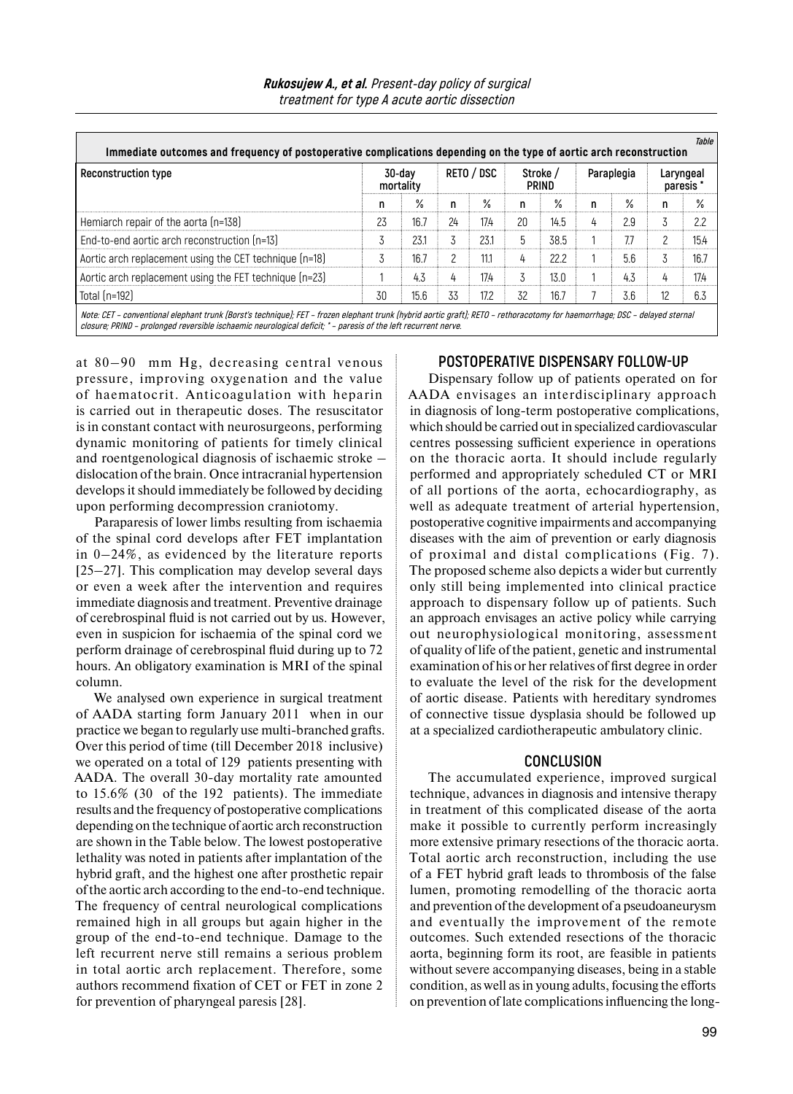| <b>Rukosujew A., et al.</b> Present-day policy of surgical |
|------------------------------------------------------------|
| treatment for type A acute aortic dissection               |

| <b>Reconstruction type</b>                             | 30-dav<br>mortality |      | RETO / DSC |      | Stroke /<br>PRIND |      | Paraplegia |     | Laryngeal<br>paresis |               |
|--------------------------------------------------------|---------------------|------|------------|------|-------------------|------|------------|-----|----------------------|---------------|
|                                                        | n                   | %    | n          | %    | n                 | $\%$ | n          | %   | n                    | $\frac{0}{2}$ |
| Hemiarch repair of the aorta (n=138)                   | 23                  | 167  | 24         | 17.4 | 20                | 14.5 | 4          | 2.9 | 3                    |               |
| End-to-end aortic arch reconstruction (n=13)           |                     | 231  |            | 231  | 5                 | 38.5 |            | 77  | 2                    | 15.4          |
| Aortic arch replacement using the CET technique (n=18) | 3                   | 167  | C          | 111  | 4                 | 222  |            | 56  |                      | 167           |
| Aortic arch replacement using the FET technique (n=23) |                     | 4.3  | 4          | 17.4 |                   | 13.0 |            | 4.3 | 4                    | 17.4          |
| Total (n=192)                                          | 30                  | 15.6 | 33         | 17.2 | 32                | 16.7 |            | 3.6 | 12                   | 6.3           |

at 80–90 mm Hg, decreasing central venous pressure, improving oxygenation and the value of haematocrit. Anticoagulation with heparin is carried out in therapeutic doses. The resuscitator is in constant contact with neurosurgeons, performing dynamic monitoring of patients for timely clinical and roentgenological diagnosis of ischaemic stroke – dislocation of the brain. Once intracranial hypertension develops it should immediately be followed by deciding upon performing decompression craniotomy.

Paraparesis of lower limbs resulting from ischaemia of the spinal cord develops after FET implantation in 0–24%, as evidenced by the literature reports [25–27]. This complication may develop several days or even a week after the intervention and requires immediate diagnosis and treatment. Preventive drainage of cerebrospinal fluid is not carried out by us. However, even in suspicion for ischaemia of the spinal cord we perform drainage of cerebrospinal fluid during up to 72 hours. An obligatory examination is MRI of the spinal column.

We analysed own experience in surgical treatment of AADA starting form January 2011 when in our practice we began to regularly use multi-branched grafts. Over this period of time (till December 2018 inclusive) we operated on a total of 129 patients presenting with AADA. The overall 30-day mortality rate amounted to 15.6% (30 of the 192 patients). The immediate results and the frequency of postoperative complications depending on the technique of aortic arch reconstruction are shown in the Table below. The lowest postoperative lethality was noted in patients after implantation of the hybrid graft, and the highest one after prosthetic repair of the aortic arch according to the end-to-end technique. The frequency of central neurological complications remained high in all groups but again higher in the group of the end-to-end technique. Damage to the left recurrent nerve still remains a serious problem in total aortic arch replacement. Therefore, some authors recommend fixation of CET or FET in zone 2 for prevention of pharyngeal paresis [28].

## **POSTOPERATIVE DISPENSARY FOLLOW-UP**

Dispensary follow up of patients operated on for AADA envisages an interdisciplinary approach in diagnosis of long-term postoperative complications, which should be carried out in specialized cardiovascular centres possessing sufficient experience in operations on the thoracic aorta. It should include regularly performed and appropriately scheduled CT or MRI of all portions of the aorta, echocardiography, as well as adequate treatment of arterial hypertension, postoperative cognitive impairments and accompanying diseases with the aim of prevention or early diagnosis of proximal and distal complications (Fig. 7). The proposed scheme also depicts a wider but currently only still being implemented into clinical practice approach to dispensary follow up of patients. Such an approach envisages an active policy while carrying out neurophysiological monitoring, assessment of quality of life of the patient, genetic and instrumental examination of his or her relatives of first degree in order to evaluate the level of the risk for the development of aortic disease. Patients with hereditary syndromes of connective tissue dysplasia should be followed up at a specialized cardiotherapeutic ambulatory clinic.

#### **CONCLUSION**

The accumulated experience, improved surgical technique, advances in diagnosis and intensive therapy in treatment of this complicated disease of the aorta make it possible to currently perform increasingly more extensive primary resections of the thoracic aorta. Total aortic arch reconstruction, including the use of a FET hybrid graft leads to thrombosis of the false lumen, promoting remodelling of the thoracic aorta and prevention of the development of a pseudoaneurysm and eventually the improvement of the remote outcomes. Such extended resections of the thoracic aorta, beginning form its root, are feasible in patients without severe accompanying diseases, being in a stable condition, as well as in young adults, focusing the efforts on prevention of late complications influencing the long-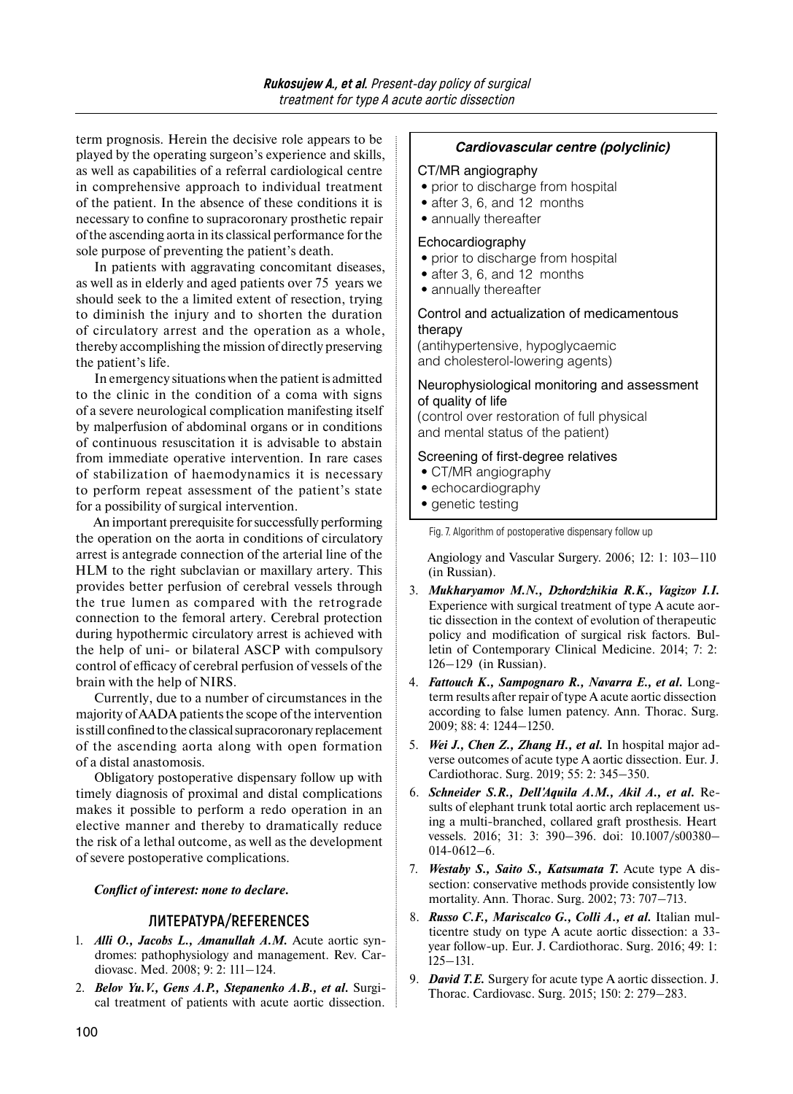term prognosis. Herein the decisive role appears to be played by the operating surgeon's experience and skills, as well as capabilities of a referral cardiological centre in comprehensive approach to individual treatment of the patient. In the absence of these conditions it is necessary to confine to supracoronary prosthetic repair of the ascending aorta in its classical performance forthe sole purpose of preventing the patient's death.

In patients with aggravating concomitant diseases, as well as in elderly and aged patients over 75 years we should seek to the a limited extent of resection, trying to diminish the injury and to shorten the duration of circulatory arrest and the operation as a whole, thereby accomplishing the mission of directly preserving the patient's life.

In emergency situations when the patient is admitted to the clinic in the condition of a coma with signs of a severe neurological complication manifesting itself by malperfusion of abdominal organs or in conditions of continuous resuscitation it is advisable to abstain from immediate operative intervention. In rare cases of stabilization of haemodynamics it is necessary to perform repeat assessment of the patient's state for a possibility of surgical intervention.

An important prerequisite forsuccessfully performing the operation on the aorta in conditions of circulatory arrest is antegrade connection of the arterial line of the HLM to the right subclavian or maxillary artery. This provides better perfusion of cerebral vessels through the true lumen as compared with the retrograde connection to the femoral artery. Cerebral protection during hypothermic circulatory arrest is achieved with the help of uni- or bilateral ASCP with compulsory control of efficacy of cerebral perfusion of vessels of the brain with the help of NIRS.

Currently, due to a number of circumstances in the majority of AADA patients the scope of the intervention isstill confined tothe classical supracoronary replacement of the ascending aorta along with open formation of a distal anastomosis.

Obligatory postoperative dispensary follow up with timely diagnosis of proximal and distal complications makes it possible to perform a redo operation in an elective manner and thereby to dramatically reduce the risk of a lethal outcome, as well as the development of severe postoperative complications.

*Conflict of interest: none to declare.* 

## **ЛИТЕРАТУРА/REFERENCES**

- 1. *Alli O., Jacobs L., Amanullah A.M.* Acute aortic syndromes: pathophysiology and management. Rev. Cardiovasc. Med. 2008; 9: 2: 111–124.
- 2. *Belov Yu.V., Gens A.P., Stepanenko A.B., et al.* Surgical treatment of patients with acute aortic dissection.

#### *Cardiovascular centre (polyclinic)*

#### CT/MR angiography

- prior to discharge from hospital
- after 3, 6, and 12 months
- annually thereafter

#### Echocardiography

- prior to discharge from hospital
- after 3, 6, and 12 months
- annually thereafter

#### Control and actualization of medicamentous therapy

(antihypertensive, hypoglycaemic and cholesterol-lowering agents)

#### Neurophysiological monitoring and assessment of quality of life

(control over restoration of full physical and mental status of the patient)

#### Screening of first-degree relatives

- CT/MR angiography
- echocardiography
- genetic testing

Fig. 7. Algorithm of postoperative dispensary follow up

Angiology and Vascular Surgery. 2006; 12: 1: 103–110 (in Russian).

- 3. *Mukharyamov M.N., Dzhordzhikia R.K., Vagizov I.I.*  Experience with surgical treatment of type A acute aortic dissection in the context of evolution of therapeutic policy and modification of surgical risk factors. Bulletin of Contemporary Clinical Medicine. 2014; 7: 2: 126–129 (in Russian).
- 4. *Fattouch K., Sampognaro R., Navarra E., et al.* Longterm results after repair of type A acute aortic dissection according to false lumen patency. Ann. Thorac. Surg. 2009; 88: 4: 1244–1250.
- 5. *Wei J., Chen Z., Zhang H., et al.* In hospital major adverse outcomes of acute type A aortic dissection. Eur. J. Cardiothorac. Surg. 2019; 55: 2: 345–350.
- 6. *Schneider S.R., Dell'Aquila A.M., Akil A., et al.* Results of elephant trunk total aortic arch replacement using a multi-branched, collared graft prosthesis. Heart vessels. 2016; 31: 3: 390–396. doi: 10.1007/s00380– 014-0612–6.
- 7. *Westaby S., Saito S., Katsumata T.* Acute type A dissection: conservative methods provide consistently low mortality. Ann. Thorac. Surg. 2002; 73: 707–713.
- 8. *Russo C.F., Mariscalco G., Colli A., et al.* Italian multicentre study on type A acute aortic dissection: a 33 year follow-up. Eur. J. Cardiothorac. Surg. 2016; 49: 1: 125–131.
- 9. *David T.E.* Surgery for acute type A aortic dissection. J. Thorac. Cardiovasc. Surg. 2015; 150: 2: 279–283.